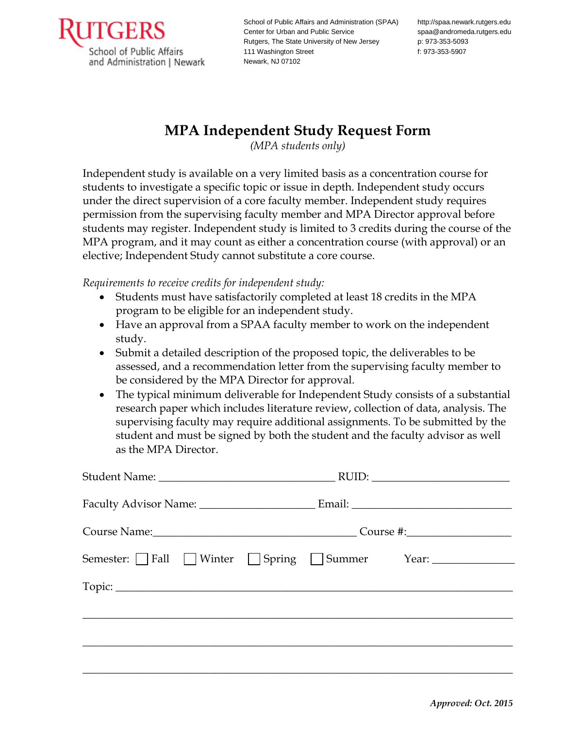

School of Public Affairs and Administration (SPAA) Center for Urban and Public Service Rutgers, The State University of New Jersey 111 Washington Street Newark, NJ 07102

http://spaa.newark.rutgers.edu spaa@andromeda.rutgers.edu p: 973-353-5093 f: 973-353-5907

## **MPA Independent Study Request Form**

*(MPA students only)*

Independent study is available on a very limited basis as a concentration course for students to investigate a specific topic or issue in depth. Independent study occurs under the direct supervision of a core faculty member. Independent study requires permission from the supervising faculty member and MPA Director approval before students may register. Independent study is limited to 3 credits during the course of the MPA program, and it may count as either a concentration course (with approval) or an elective; Independent Study cannot substitute a core course.

*Requirements to receive credits for independent study:*

- Students must have satisfactorily completed at least 18 credits in the MPA program to be eligible for an independent study.
- Have an approval from a SPAA faculty member to work on the independent study.
- Submit a detailed description of the proposed topic, the deliverables to be assessed, and a recommendation letter from the supervising faculty member to be considered by the MPA Director for approval.
- The typical minimum deliverable for Independent Study consists of a substantial research paper which includes literature review, collection of data, analysis. The supervising faculty may require additional assignments. To be submitted by the student and must be signed by both the student and the faculty advisor as well as the MPA Director.

| $RUID: \begin{tabular}{ c c c } \hline \multicolumn{3}{ c }{RUID:} \multicolumn{3}{ c }{\text{\normalsize{N-1}}} \end{tabular}$ |  |  |
|---------------------------------------------------------------------------------------------------------------------------------|--|--|
|                                                                                                                                 |  |  |
|                                                                                                                                 |  |  |
| Semester: Fall DWinter DSpring DSummer Year: 1990 Member 2014                                                                   |  |  |
|                                                                                                                                 |  |  |
|                                                                                                                                 |  |  |
|                                                                                                                                 |  |  |
|                                                                                                                                 |  |  |